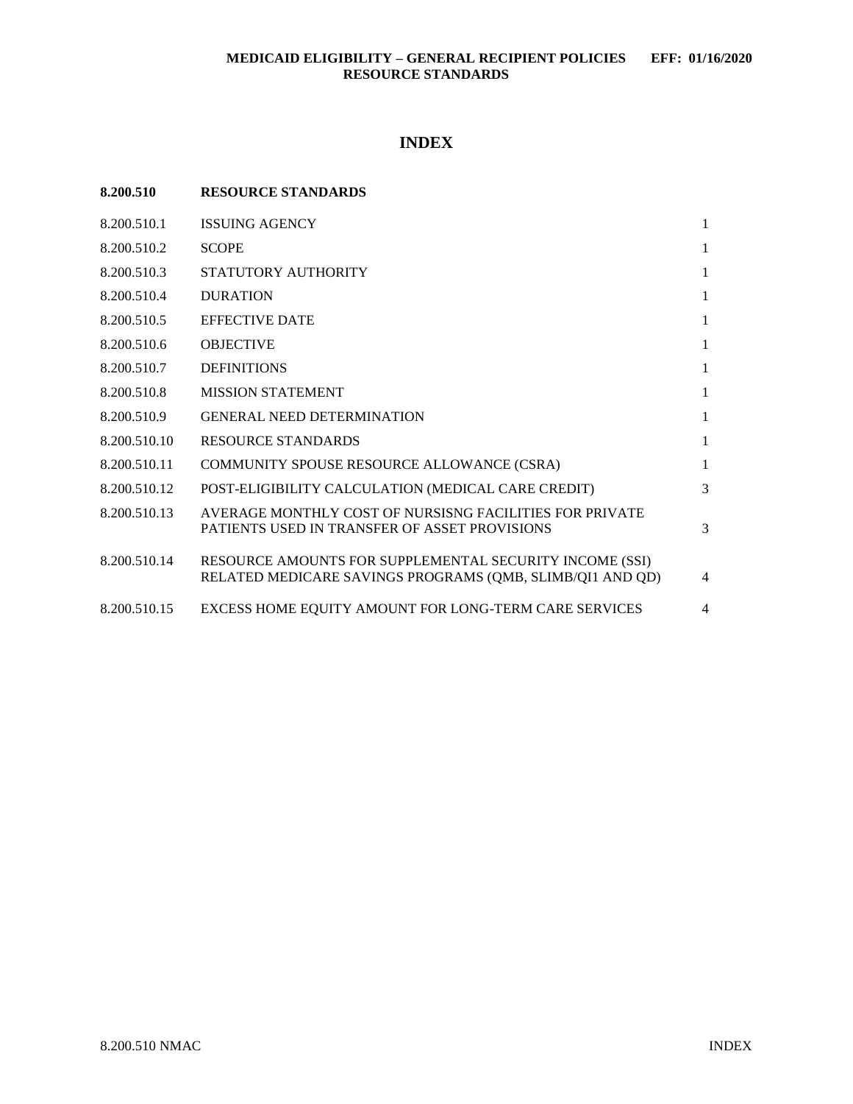# **INDEX**

| 8.200.510    | <b>RESOURCE STANDARDS</b>                                                                                            |                |
|--------------|----------------------------------------------------------------------------------------------------------------------|----------------|
| 8.200.510.1  | <b>ISSUING AGENCY</b>                                                                                                | $\mathbf{1}$   |
| 8.200.510.2  | <b>SCOPE</b>                                                                                                         | $\mathbf{1}$   |
| 8.200.510.3  | STATUTORY AUTHORITY                                                                                                  | $\mathbf{1}$   |
| 8.200.510.4  | <b>DURATION</b>                                                                                                      | $\mathbf{1}$   |
| 8.200.510.5  | <b>EFFECTIVE DATE</b>                                                                                                | $\mathbf{1}$   |
| 8.200.510.6  | <b>OBJECTIVE</b>                                                                                                     | $\mathbf{1}$   |
| 8.200.510.7  | <b>DEFINITIONS</b>                                                                                                   | $\mathbf{1}$   |
| 8.200.510.8  | <b>MISSION STATEMENT</b>                                                                                             | $\mathbf{1}$   |
| 8.200.510.9  | <b>GENERAL NEED DETERMINATION</b>                                                                                    | $\mathbf{1}$   |
| 8.200.510.10 | <b>RESOURCE STANDARDS</b>                                                                                            | $\mathbf{1}$   |
| 8.200.510.11 | COMMUNITY SPOUSE RESOURCE ALLOWANCE (CSRA)                                                                           | $\mathbf{1}$   |
| 8.200.510.12 | POST-ELIGIBILITY CALCULATION (MEDICAL CARE CREDIT)                                                                   | 3              |
| 8.200.510.13 | AVERAGE MONTHLY COST OF NURSISNG FACILITIES FOR PRIVATE<br>PATIENTS USED IN TRANSFER OF ASSET PROVISIONS             | 3              |
| 8.200.510.14 | RESOURCE AMOUNTS FOR SUPPLEMENTAL SECURITY INCOME (SSI)<br>RELATED MEDICARE SAVINGS PROGRAMS (QMB, SLIMB/QI1 AND QD) | 4              |
| 8.200.510.15 | EXCESS HOME EQUITY AMOUNT FOR LONG-TERM CARE SERVICES                                                                | $\overline{4}$ |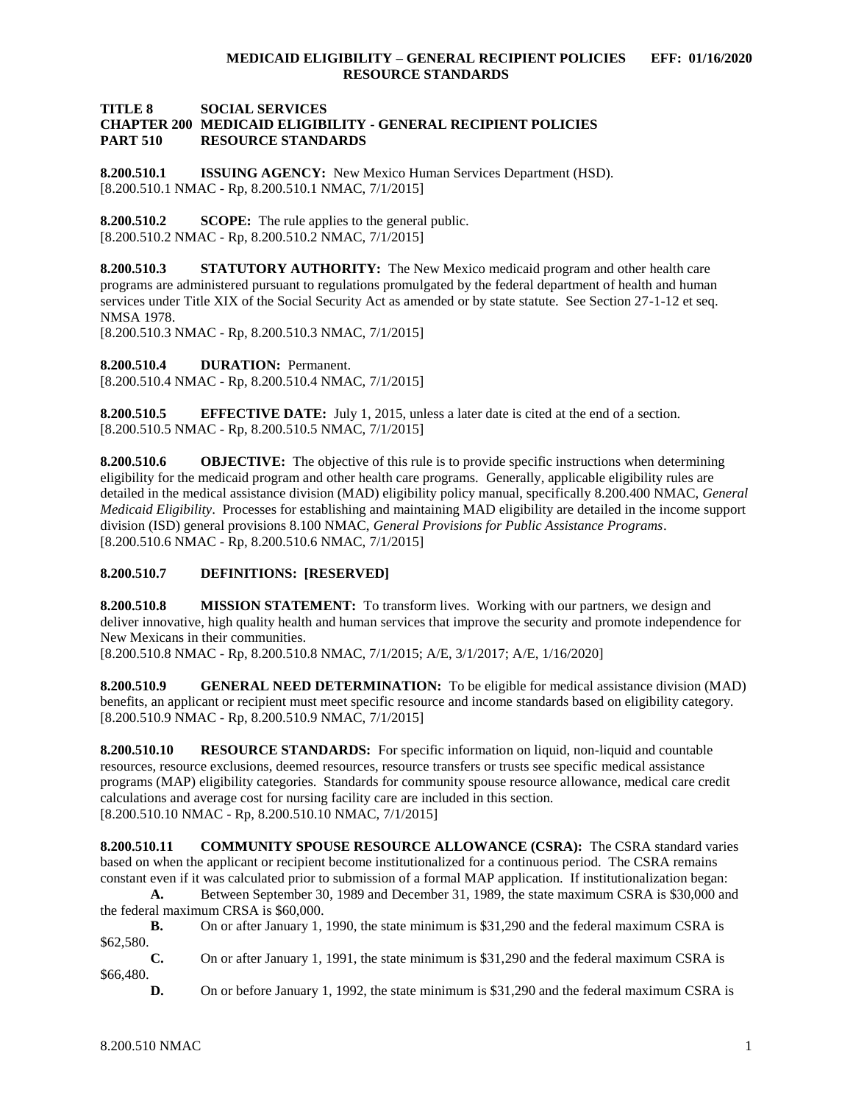## **TITLE 8 SOCIAL SERVICES CHAPTER 200 MEDICAID ELIGIBILITY - GENERAL RECIPIENT POLICIES PART 510 RESOURCE STANDARDS**

<span id="page-1-0"></span>**8.200.510.1 ISSUING AGENCY:** New Mexico Human Services Department (HSD). [8.200.510.1 NMAC - Rp, 8.200.510.1 NMAC, 7/1/2015]

<span id="page-1-1"></span>**8.200.510.2 SCOPE:** The rule applies to the general public. [8.200.510.2 NMAC - Rp, 8.200.510.2 NMAC, 7/1/2015]

<span id="page-1-2"></span>**8.200.510.3 STATUTORY AUTHORITY:** The New Mexico medicaid program and other health care programs are administered pursuant to regulations promulgated by the federal department of health and human services under Title XIX of the Social Security Act as amended or by state statute. See Section 27-1-12 et seq. NMSA 1978.

[8.200.510.3 NMAC - Rp, 8.200.510.3 NMAC, 7/1/2015]

<span id="page-1-3"></span>**8.200.510.4 DURATION:** Permanent. [8.200.510.4 NMAC - Rp, 8.200.510.4 NMAC, 7/1/2015]

<span id="page-1-4"></span>**8.200.510.5 EFFECTIVE DATE:** July 1, 2015, unless a later date is cited at the end of a section. [8.200.510.5 NMAC - Rp, 8.200.510.5 NMAC, 7/1/2015]

<span id="page-1-5"></span>**8.200.510.6 OBJECTIVE:** The objective of this rule is to provide specific instructions when determining eligibility for the medicaid program and other health care programs. Generally, applicable eligibility rules are detailed in the medical assistance division (MAD) eligibility policy manual, specifically 8.200.400 NMAC, *General Medicaid Eligibility*. Processes for establishing and maintaining MAD eligibility are detailed in the income support division (ISD) general provisions 8.100 NMAC, *General Provisions for Public Assistance Programs*. [8.200.510.6 NMAC - Rp, 8.200.510.6 NMAC, 7/1/2015]

<span id="page-1-6"></span>**8.200.510.7 DEFINITIONS: [RESERVED]**

<span id="page-1-7"></span>**8.200.510.8 MISSION STATEMENT:** To transform lives. Working with our partners, we design and deliver innovative, high quality health and human services that improve the security and promote independence for New Mexicans in their communities.

[8.200.510.8 NMAC - Rp, 8.200.510.8 NMAC, 7/1/2015; A/E, 3/1/2017; A/E, 1/16/2020]

<span id="page-1-8"></span>**8.200.510.9 GENERAL NEED DETERMINATION:** To be eligible for medical assistance division (MAD) benefits, an applicant or recipient must meet specific resource and income standards based on eligibility category. [8.200.510.9 NMAC - Rp, 8.200.510.9 NMAC, 7/1/2015]

<span id="page-1-9"></span>**8.200.510.10 RESOURCE STANDARDS:** For specific information on liquid, non-liquid and countable resources, resource exclusions, deemed resources, resource transfers or trusts see specific medical assistance programs (MAP) eligibility categories. Standards for community spouse resource allowance, medical care credit calculations and average cost for nursing facility care are included in this section. [8.200.510.10 NMAC - Rp, 8.200.510.10 NMAC, 7/1/2015]

<span id="page-1-10"></span>**8.200.510.11 COMMUNITY SPOUSE RESOURCE ALLOWANCE (CSRA):** The CSRA standard varies based on when the applicant or recipient become institutionalized for a continuous period. The CSRA remains constant even if it was calculated prior to submission of a formal MAP application. If institutionalization began:

**A.** Between September 30, 1989 and December 31, 1989, the state maximum CSRA is \$30,000 and the federal maximum CRSA is \$60,000.

**B.** On or after January 1, 1990, the state minimum is \$31,290 and the federal maximum CSRA is \$62,580.

**C.** On or after January 1, 1991, the state minimum is \$31,290 and the federal maximum CSRA is \$66,480.

**D.** On or before January 1, 1992, the state minimum is \$31,290 and the federal maximum CSRA is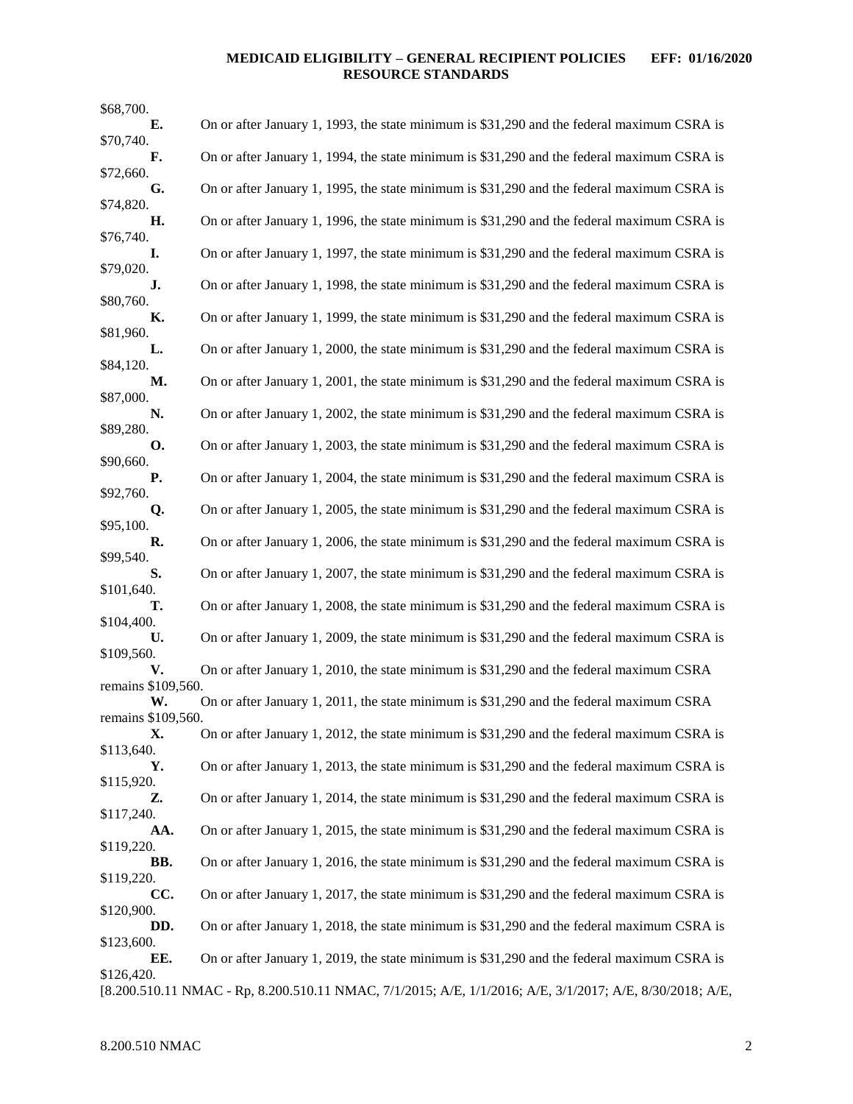# **MEDICAID ELIGIBILITY – GENERAL RECIPIENT POLICIES EFF: 01/16/2020 RESOURCE STANDARDS**

| \$68,700.                |                                                                                                          |
|--------------------------|----------------------------------------------------------------------------------------------------------|
| E.                       | On or after January 1, 1993, the state minimum is \$31,290 and the federal maximum CSRA is               |
| \$70,740.<br>F.          | On or after January 1, 1994, the state minimum is \$31,290 and the federal maximum CSRA is               |
| \$72,660.                |                                                                                                          |
| G.<br>\$74,820.          | On or after January 1, 1995, the state minimum is \$31,290 and the federal maximum CSRA is               |
| Н.<br>\$76,740.          | On or after January 1, 1996, the state minimum is \$31,290 and the federal maximum CSRA is               |
| I.<br>\$79,020.          | On or after January 1, 1997, the state minimum is \$31,290 and the federal maximum CSRA is               |
| J.                       | On or after January 1, 1998, the state minimum is \$31,290 and the federal maximum CSRA is               |
| \$80,760.<br>К.          | On or after January 1, 1999, the state minimum is \$31,290 and the federal maximum CSRA is               |
| \$81,960.<br>L.          | On or after January 1, 2000, the state minimum is \$31,290 and the federal maximum CSRA is               |
| \$84,120.<br>М.          | On or after January 1, 2001, the state minimum is \$31,290 and the federal maximum CSRA is               |
| \$87,000.<br>N.          | On or after January 1, 2002, the state minimum is \$31,290 and the federal maximum CSRA is               |
| \$89,280.<br>О.          | On or after January 1, 2003, the state minimum is \$31,290 and the federal maximum CSRA is               |
| \$90,660.<br><b>P.</b>   | On or after January 1, 2004, the state minimum is \$31,290 and the federal maximum CSRA is               |
| \$92,760.<br>Q.          | On or after January 1, 2005, the state minimum is \$31,290 and the federal maximum CSRA is               |
| \$95,100.<br>R.          | On or after January 1, 2006, the state minimum is \$31,290 and the federal maximum CSRA is               |
| \$99,540.<br>S.          | On or after January 1, 2007, the state minimum is \$31,290 and the federal maximum CSRA is               |
| \$101,640.<br>т.         | On or after January 1, 2008, the state minimum is \$31,290 and the federal maximum CSRA is               |
| \$104,400.               |                                                                                                          |
| U.<br>\$109,560.         | On or after January 1, 2009, the state minimum is \$31,290 and the federal maximum CSRA is               |
| V.<br>remains \$109,560. | On or after January 1, 2010, the state minimum is \$31,290 and the federal maximum CSRA                  |
| W.                       | On or after January 1, 2011, the state minimum is \$31,290 and the federal maximum CSRA                  |
| remains \$109,560.<br>X. | On or after January 1, 2012, the state minimum is \$31,290 and the federal maximum CSRA is               |
| \$113,640.               |                                                                                                          |
| Υ.<br>\$115,920.         | On or after January 1, 2013, the state minimum is \$31,290 and the federal maximum CSRA is               |
| Z.<br>\$117,240.         | On or after January 1, 2014, the state minimum is \$31,290 and the federal maximum CSRA is               |
| AA.<br>\$119,220.        | On or after January 1, 2015, the state minimum is \$31,290 and the federal maximum CSRA is               |
| BB.<br>\$119,220.        | On or after January 1, 2016, the state minimum is \$31,290 and the federal maximum CSRA is               |
| CC.                      | On or after January 1, 2017, the state minimum is \$31,290 and the federal maximum CSRA is               |
| \$120,900.<br>DD.        | On or after January 1, 2018, the state minimum is \$31,290 and the federal maximum CSRA is               |
| \$123,600.<br>EE.        | On or after January 1, 2019, the state minimum is \$31,290 and the federal maximum CSRA is               |
| \$126,420.               | [8.200.510.11 NMAC - Rp, 8.200.510.11 NMAC, 7/1/2015; A/E, 1/1/2016; A/E, 3/1/2017; A/E, 8/30/2018; A/E, |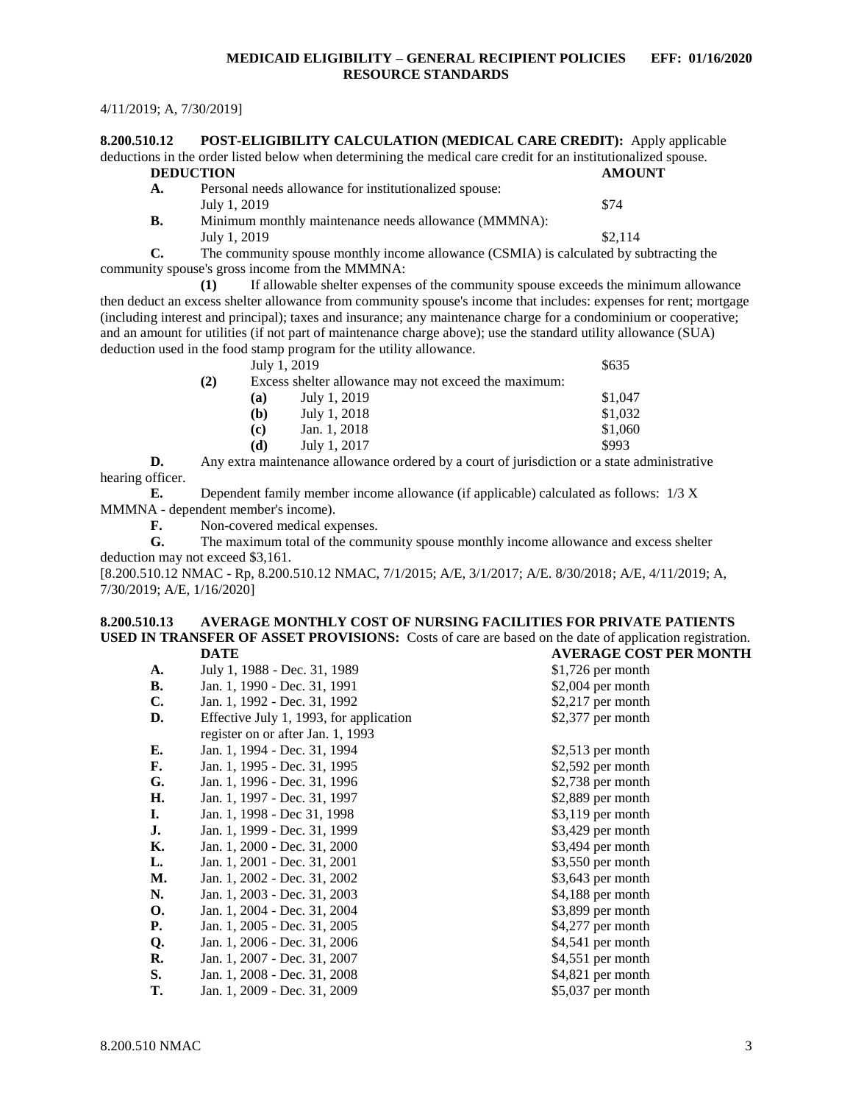## **MEDICAID ELIGIBILITY – GENERAL RECIPIENT POLICIES EFF: 01/16/2020 RESOURCE STANDARDS**

#### 4/11/2019; A, 7/30/2019]

<span id="page-3-0"></span>**8.200.510.12 POST-ELIGIBILITY CALCULATION (MEDICAL CARE CREDIT):** Apply applicable deductions in the order listed below when determining the medical care credit for an institutionalized spouse. **DEDUCTION AMOUNT A.** Personal needs allowance for institutionalized spouse: July 1, 2019  $\$74$ **B.** Minimum monthly maintenance needs allowance (MMMNA): July 1, 2019  $\frac{$2,114}{ }$ **C.** The community spouse monthly income allowance (CSMIA) is calculated by subtracting the

community spouse's gross income from the MMMNA:

**(1)** If allowable shelter expenses of the community spouse exceeds the minimum allowance then deduct an excess shelter allowance from community spouse's income that includes: expenses for rent; mortgage (including interest and principal); taxes and insurance; any maintenance charge for a condominium or cooperative; and an amount for utilities (if not part of maintenance charge above); use the standard utility allowance (SUA) deduction used in the food stamp program for the utility allowance.  $J_{\text{ulv}}$  1, 2019

|     |                             | $JUIV$ 1, $ZUIJ$                                     | ഄഄഄ     |
|-----|-----------------------------|------------------------------------------------------|---------|
| (2) |                             | Excess shelter allowance may not exceed the maximum: |         |
|     | (a)                         | July 1, 2019                                         | \$1,047 |
|     | (b)                         | July 1, 2018                                         | \$1,032 |
|     | $\left( \mathbf{c} \right)$ | Jan. 1, 2018                                         | \$1,060 |
|     | (d)                         | July 1, 2017                                         | \$993   |
|     |                             |                                                      |         |

**D.** Any extra maintenance allowance ordered by a court of jurisdiction or a state administrative hearing officer.

**E.** Dependent family member income allowance (if applicable) calculated as follows: 1/3 X MMMNA - dependent member's income).

**F.** Non-covered medical expenses.

**G.** The maximum total of the community spouse monthly income allowance and excess shelter deduction may not exceed \$3,161.

[8.200.510.12 NMAC - Rp, 8.200.510.12 NMAC, 7/1/2015; A/E, 3/1/2017; A/E. 8/30/2018; A/E, 4/11/2019; A, 7/30/2019; A/E, 1/16/2020]

#### <span id="page-3-1"></span>**8.200.510.13 AVERAGE MONTHLY COST OF NURSING FACILITIES FOR PRIVATE PATIENTS USED IN TRANSFER OF ASSET PROVISIONS:** Costs of care are based on the date of application registration.<br>DATE AVERAGE COST PER MONTH **DATE AVERAGE COST PER MONTH**

|                |                                         | , LIVIOL COD 1     |
|----------------|-----------------------------------------|--------------------|
| A.             | July 1, 1988 - Dec. 31, 1989            | $$1,726$ per month |
| В.             | Jan. 1, 1990 - Dec. 31, 1991            | $$2,004$ per month |
| $\mathbf{C}$ . | Jan. 1, 1992 - Dec. 31, 1992            | $$2,217$ per month |
| D.             | Effective July 1, 1993, for application | \$2,377 per month  |
|                | register on or after Jan. 1, 1993       |                    |
| Е.             | Jan. 1, 1994 - Dec. 31, 1994            | $$2,513$ per month |
| F.             | Jan. 1, 1995 - Dec. 31, 1995            | \$2,592 per month  |
| G.             | Jan. 1, 1996 - Dec. 31, 1996            | $$2,738$ per month |
| Н.             | Jan. 1, 1997 - Dec. 31, 1997            | $$2,889$ per month |
| L.             | Jan. 1, 1998 - Dec 31, 1998             | $$3,119$ per month |
| J.             | Jan. 1, 1999 - Dec. 31, 1999            | $$3,429$ per month |
| К.             | Jan. 1, 2000 - Dec. 31, 2000            | \$3,494 per month  |
| L.             | Jan. 1, 2001 - Dec. 31, 2001            | $$3,550$ per month |
| М.             | Jan. 1, 2002 - Dec. 31, 2002            | \$3,643 per month  |
| N.             | Jan. 1, 2003 - Dec. 31, 2003            | \$4,188 per month  |
| <b>O.</b>      | Jan. 1, 2004 - Dec. 31, 2004            | \$3,899 per month  |
| <b>P.</b>      | Jan. 1, 2005 - Dec. 31, 2005            | \$4,277 per month  |
| Q.             | Jan. 1, 2006 - Dec. 31, 2006            | \$4,541 per month  |
| R.             | Jan. 1, 2007 - Dec. 31, 2007            | \$4,551 per month  |
| S.             | Jan. 1, 2008 - Dec. 31, 2008            | \$4,821 per month  |
| T.             | Jan. 1, 2009 - Dec. 31, 2009            | \$5,037 per month  |